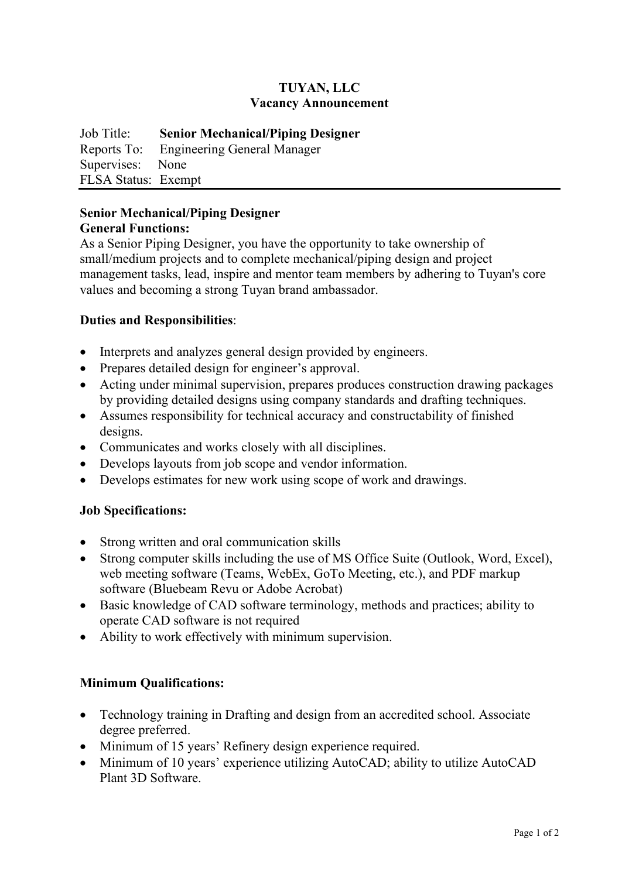# **TUYAN, LLC Vacancy Announcement**

Job Title: **Senior Mechanical/Piping Designer** Reports To: Engineering General Manager Supervises: None FLSA Status: Exempt

### **Senior Mechanical/Piping Designer General Functions:**

As a Senior Piping Designer, you have the opportunity to take ownership of small/medium projects and to complete mechanical/piping design and project management tasks, lead, inspire and mentor team members by adhering to Tuyan's core values and becoming a strong Tuyan brand ambassador.

# **Duties and Responsibilities**:

- Interprets and analyzes general design provided by engineers.
- Prepares detailed design for engineer's approval.
- Acting under minimal supervision, prepares produces construction drawing packages by providing detailed designs using company standards and drafting techniques.
- Assumes responsibility for technical accuracy and constructability of finished designs.
- Communicates and works closely with all disciplines.
- Develops layouts from job scope and vendor information.
- Develops estimates for new work using scope of work and drawings.

### **Job Specifications:**

- Strong written and oral communication skills
- Strong computer skills including the use of MS Office Suite (Outlook, Word, Excel), web meeting software (Teams, WebEx, GoTo Meeting, etc.), and PDF markup software (Bluebeam Revu or Adobe Acrobat)
- Basic knowledge of CAD software terminology, methods and practices; ability to operate CAD software is not required
- Ability to work effectively with minimum supervision.

# **Minimum Qualifications:**

- Technology training in Drafting and design from an accredited school. Associate degree preferred.
- Minimum of 15 years' Refinery design experience required.
- Minimum of 10 years' experience utilizing AutoCAD; ability to utilize AutoCAD Plant 3D Software.